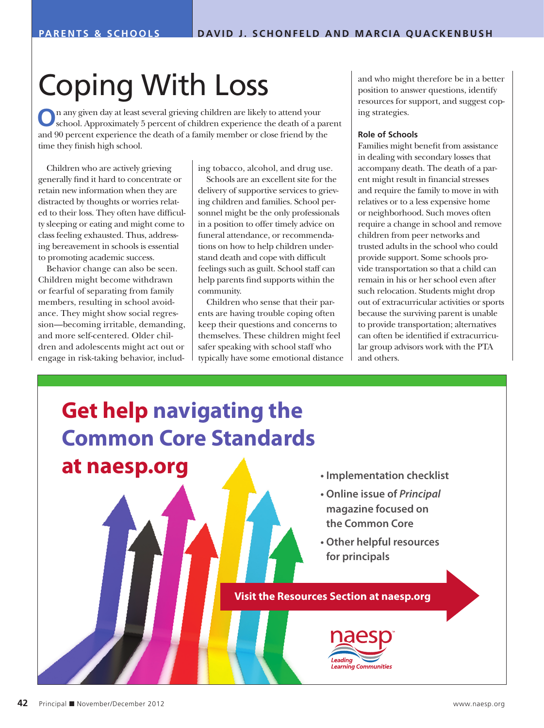# Coping With Loss

**O**n any given day at least several grieving children are likely to attend your school. Approximately 5 percent of children experience the death of a parent and 90 percent experience the death of a family member or close friend by the time they finish high school.

Children who are actively grieving generally find it hard to concentrate or retain new information when they are distracted by thoughts or worries related to their loss. They often have difficulty sleeping or eating and might come to class feeling exhausted. Thus, addressing bereavement in schools is essential to promoting academic success.

Behavior change can also be seen. Children might become withdrawn or fearful of separating from family members, resulting in school avoidance. They might show social regression—becoming irritable, demanding, and more self-centered. Older children and adolescents might act out or engage in risk-taking behavior, including tobacco, alcohol, and drug use.

Schools are an excellent site for the delivery of supportive services to grieving children and families. School personnel might be the only professionals in a position to offer timely advice on funeral attendance, or recommendations on how to help children understand death and cope with difficult feelings such as guilt. School staff can help parents find supports within the community.

Children who sense that their parents are having trouble coping often keep their questions and concerns to themselves. These children might feel safer speaking with school staff who typically have some emotional distance and who might therefore be in a better position to answer questions, identify resources for support, and suggest coping strategies.

#### **Role of Schools**

Families might benefit from assistance in dealing with secondary losses that accompany death. The death of a parent might result in financial stresses and require the family to move in with relatives or to a less expensive home or neighborhood. Such moves often require a change in school and remove children from peer networks and trusted adults in the school who could provide support. Some schools provide transportation so that a child can remain in his or her school even after such relocation. Students might drop out of extracurricular activities or sports because the surviving parent is unable to provide transportation; alternatives can often be identified if extracurricular group advisors work with the PTA and others.

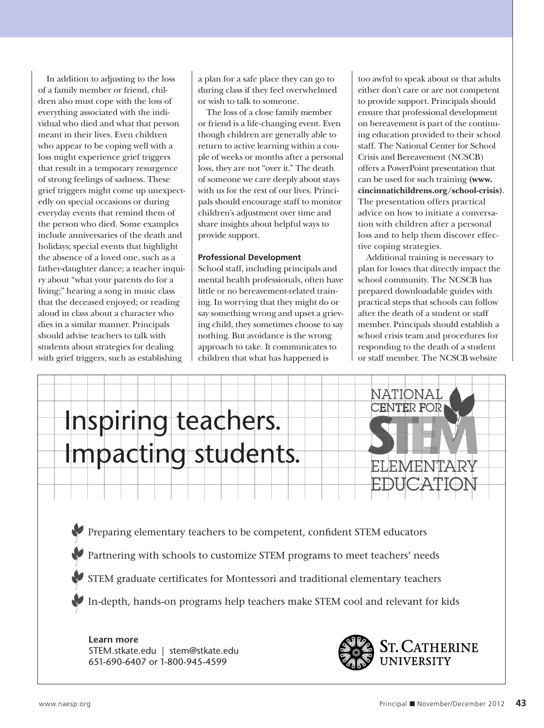In addition to adjusting to the loss of a family member or friend, children also must cope with the loss of everything associated with the individual who died and what that person meant in their lives. Even children who appear to be coping well with a loss might experience grief triggers that result in a temporary resurgence of strong feelings of sadness. These grief triggers might come up unexpectedly on special occasions or during everyday events that remind them of the person who died. Some examples include anniversaries of the death and holidays; special events that highlight the absence of a loved one, such as a father-daughter dance; a teacher inquiry about "what your parents do for a living;" hearing a song in music class that the deceased enjoyed; or reading aloud in class about a character who dies in a similar manner. Principals should advise teachers to talk with students about strategies for dealing with grief triggers, such as establishing

a plan for a safe place they can go to during class if they feel overwhelmed or wish to talk to someone.

The loss of a close family member or friend is a life-changing event. Even though children are generally able to return to active learning within a couple of weeks or months after a personal loss, they are not "over it." The death of someone we care deeply about stays with us for the rest of our lives. Principals should encourage staff to monitor children's adjustment over time and share insights about helpful ways to provide support.

### **Professional Development**

School staff, including principals and mental health professionals, often have little or no bereavement-related training. In worrying that they might do or say something wrong and upset a grieving child, they sometimes choose to say nothing. But avoidance is the wrong approach to take. It communicates to children that what has happened is

too awful to speak about or that adults either don't care or are not competent to provide support. Principals should ensure that professional development on bereavement is part of the continuing education provided to their school staff. The National Center for School Crisis and Bereavement (NCSCB) offers a PowerPoint presentation that can be used for such training **(www. cincinnatichildrens.org/school-crisis)**. The presentation offers practical advice on how to initiate a conversation with children after a personal loss and to help them discover effective coping strategies.

Additional training is necessary to plan for losses that directly impact the school community. The NCSCB has prepared downloadable guides with practical steps that schools can follow after the death of a student or staff member. Principals should establish a school crisis team and procedures for responding to the death of a student or staff member. The NCSCB website



Partnering with schools to customize STEM programs to meet teachers' needs

STEM graduate certificates for Montessori and traditional elementary teachers

In-depth, hands-on programs help teachers make STEM cool and relevant for kids

**Learn more** STEM.stkate.edu | stem@stkate.edu 651-690-6407 or 1-800-945-4599